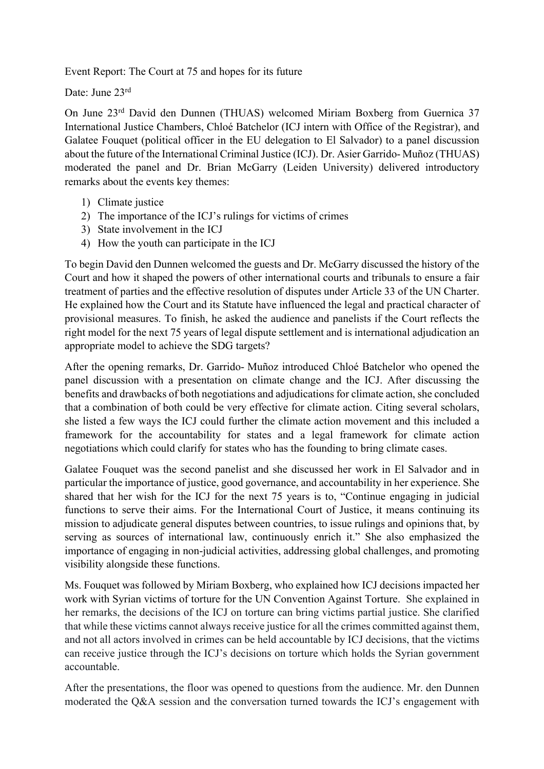Event Report: The Court at 75 and hopes for its future

Date: June 23rd

On June 23rd David den Dunnen (THUAS) welcomed Miriam Boxberg from Guernica 37 International Justice Chambers, Chloé Batchelor (ICJ intern with Office of the Registrar), and Galatee Fouquet (political officer in the EU delegation to El Salvador) to a panel discussion about the future of the International Criminal Justice (ICJ). Dr. Asier Garrido- Muñoz (THUAS) moderated the panel and Dr. Brian McGarry (Leiden University) delivered introductory remarks about the events key themes:

- 1) Climate justice
- 2) The importance of the ICJ's rulings for victims of crimes
- 3) State involvement in the ICJ
- 4) How the youth can participate in the ICJ

To begin David den Dunnen welcomed the guests and Dr. McGarry discussed the history of the Court and how it shaped the powers of other international courts and tribunals to ensure a fair treatment of parties and the effective resolution of disputes under Article 33 of the UN Charter. He explained how the Court and its Statute have influenced the legal and practical character of provisional measures. To finish, he asked the audience and panelists if the Court reflects the right model for the next 75 years of legal dispute settlement and is international adjudication an appropriate model to achieve the SDG targets?

After the opening remarks, Dr. Garrido- Muñoz introduced Chloé Batchelor who opened the panel discussion with a presentation on climate change and the ICJ. After discussing the benefits and drawbacks of both negotiations and adjudications for climate action, she concluded that a combination of both could be very effective for climate action. Citing several scholars, she listed a few ways the ICJ could further the climate action movement and this included a framework for the accountability for states and a legal framework for climate action negotiations which could clarify for states who has the founding to bring climate cases.

Galatee Fouquet was the second panelist and she discussed her work in El Salvador and in particular the importance of justice, good governance, and accountability in her experience. She shared that her wish for the ICJ for the next 75 years is to, "Continue engaging in judicial functions to serve their aims. For the International Court of Justice, it means continuing its mission to adjudicate general disputes between countries, to issue rulings and opinions that, by serving as sources of international law, continuously enrich it." She also emphasized the importance of engaging in non-judicial activities, addressing global challenges, and promoting visibility alongside these functions.

Ms. Fouquet was followed by Miriam Boxberg, who explained how ICJ decisions impacted her work with Syrian victims of torture for the UN Convention Against Torture. She explained in her remarks, the decisions of the ICJ on torture can bring victims partial justice. She clarified that while these victims cannot always receive justice for all the crimes committed against them, and not all actors involved in crimes can be held accountable by ICJ decisions, that the victims can receive justice through the ICJ's decisions on torture which holds the Syrian government accountable.

After the presentations, the floor was opened to questions from the audience. Mr. den Dunnen moderated the Q&A session and the conversation turned towards the ICJ's engagement with